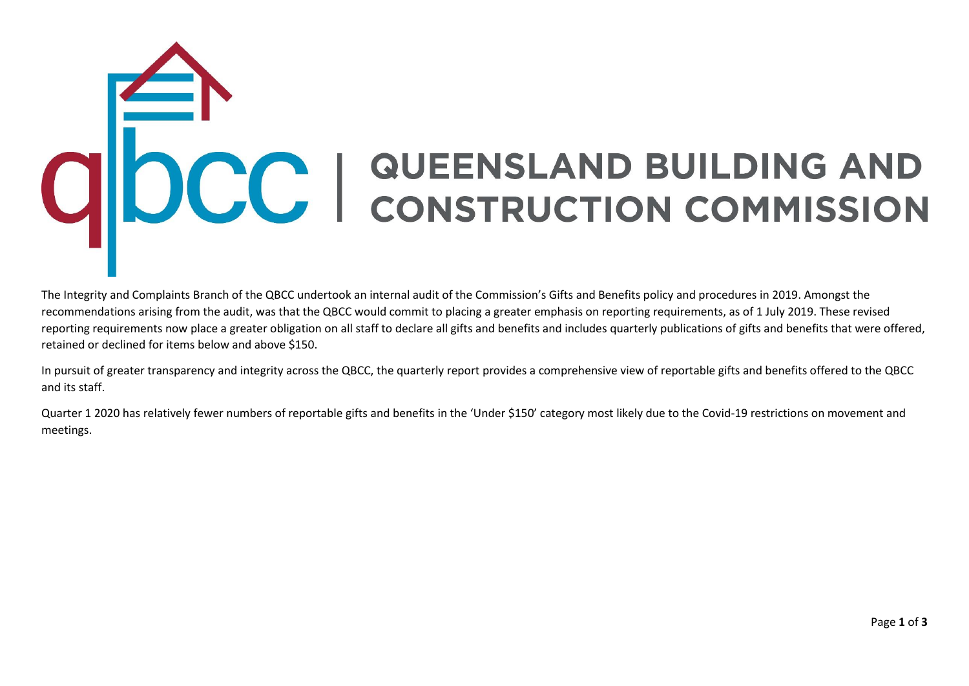## ODCC | QUEENSLAND BUILDING AND

The Integrity and Complaints Branch of the QBCC undertook an internal audit of the Commission's Gifts and Benefits policy and procedures in 2019. Amongst the recommendations arising from the audit, was that the QBCC would commit to placing a greater emphasis on reporting requirements, as of 1 July 2019. These revised reporting requirements now place a greater obligation on all staff to declare all gifts and benefits and includes quarterly publications of gifts and benefits that were offered, retained or declined for items below and above \$150.

In pursuit of greater transparency and integrity across the QBCC, the quarterly report provides a comprehensive view of reportable gifts and benefits offered to the QBCC and its staff.

Quarter 1 2020 has relatively fewer numbers of reportable gifts and benefits in the 'Under \$150' category most likely due to the Covid-19 restrictions on movement and meetings.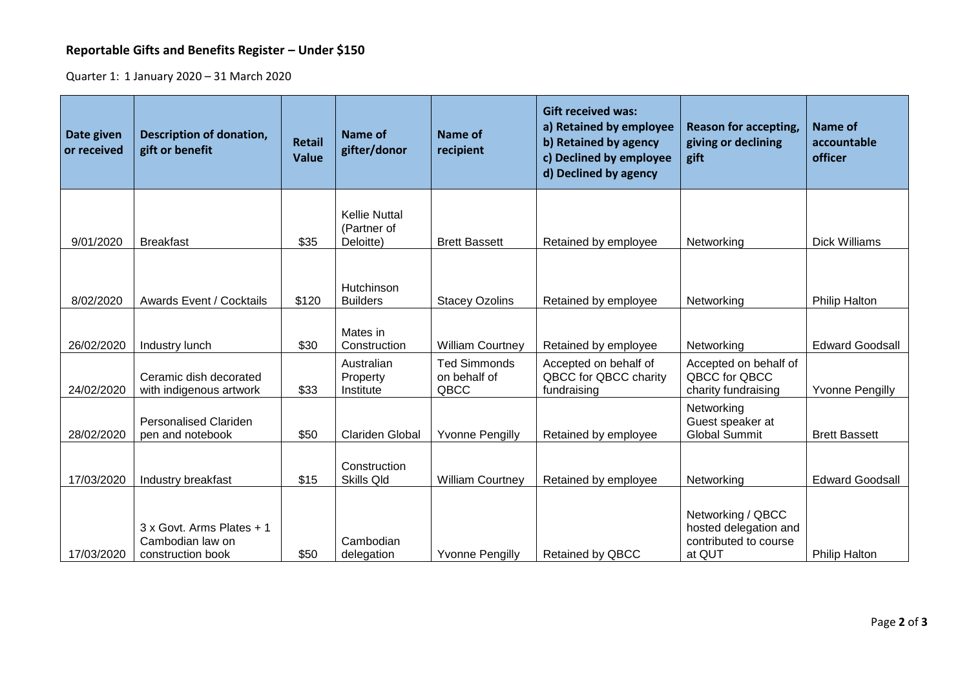## **Reportable Gifts and Benefits Register – Under \$150**

Quarter 1: 1 January 2020 – 31 March 2020

| Date given<br>or received | <b>Description of donation,</b><br>gift or benefit                 | <b>Retail</b><br><b>Value</b> | Name of<br>gifter/donor                          | Name of<br>recipient                        | <b>Gift received was:</b><br>a) Retained by employee<br>b) Retained by agency<br>c) Declined by employee<br>d) Declined by agency | <b>Reason for accepting,</b><br>giving or declining<br>gift                   | <b>Name of</b><br>accountable<br>officer |
|---------------------------|--------------------------------------------------------------------|-------------------------------|--------------------------------------------------|---------------------------------------------|-----------------------------------------------------------------------------------------------------------------------------------|-------------------------------------------------------------------------------|------------------------------------------|
| 9/01/2020                 | <b>Breakfast</b>                                                   | \$35                          | <b>Kellie Nuttal</b><br>(Partner of<br>Deloitte) | <b>Brett Bassett</b>                        | Retained by employee                                                                                                              | Networking                                                                    | <b>Dick Williams</b>                     |
| 8/02/2020                 | <b>Awards Event / Cocktails</b>                                    | \$120                         | Hutchinson<br><b>Builders</b>                    | <b>Stacey Ozolins</b>                       | Retained by employee                                                                                                              | Networking                                                                    | <b>Philip Halton</b>                     |
| 26/02/2020                | Industry lunch                                                     | \$30                          | Mates in<br>Construction                         | <b>William Courtney</b>                     | Retained by employee                                                                                                              | Networking                                                                    | <b>Edward Goodsall</b>                   |
| 24/02/2020                | Ceramic dish decorated<br>with indigenous artwork                  | \$33                          | Australian<br>Property<br>Institute              | <b>Ted Simmonds</b><br>on behalf of<br>QBCC | Accepted on behalf of<br>QBCC for QBCC charity<br>fundraising                                                                     | Accepted on behalf of<br>QBCC for QBCC<br>charity fundraising                 | <b>Yvonne Pengilly</b>                   |
| 28/02/2020                | <b>Personalised Clariden</b><br>pen and notebook                   | \$50                          | <b>Clariden Global</b>                           | <b>Yvonne Pengilly</b>                      | Retained by employee                                                                                                              | Networking<br>Guest speaker at<br><b>Global Summit</b>                        | <b>Brett Bassett</b>                     |
| 17/03/2020                | Industry breakfast                                                 | \$15                          | Construction<br>Skills Qld                       | <b>William Courtney</b>                     | Retained by employee                                                                                                              | Networking                                                                    | <b>Edward Goodsall</b>                   |
| 17/03/2020                | 3 x Govt. Arms Plates + 1<br>Cambodian law on<br>construction book | \$50                          | Cambodian<br>delegation                          | <b>Yvonne Pengilly</b>                      | Retained by QBCC                                                                                                                  | Networking / QBCC<br>hosted delegation and<br>contributed to course<br>at QUT | <b>Philip Halton</b>                     |